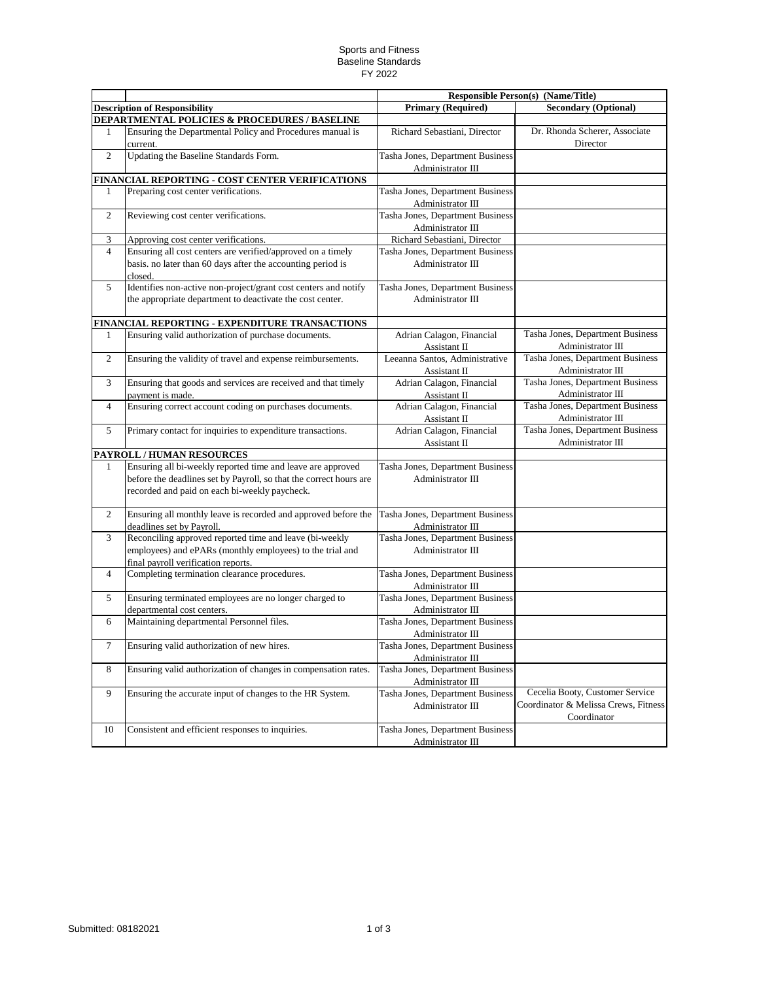## Sports and Fitness Baseline Standards FY 2022

|                |                                                                                                                                                                                    | <b>Responsible Person(s) (Name/Title)</b>             |                                                                                        |
|----------------|------------------------------------------------------------------------------------------------------------------------------------------------------------------------------------|-------------------------------------------------------|----------------------------------------------------------------------------------------|
|                | <b>Description of Responsibility</b>                                                                                                                                               | <b>Primary (Required)</b>                             | <b>Secondary (Optional)</b>                                                            |
|                | DEPARTMENTAL POLICIES & PROCEDURES / BASELINE                                                                                                                                      |                                                       |                                                                                        |
| $\mathbf{1}$   | Ensuring the Departmental Policy and Procedures manual is<br>current.                                                                                                              | Richard Sebastiani, Director                          | Dr. Rhonda Scherer, Associate<br>Director                                              |
| $\overline{c}$ | Updating the Baseline Standards Form.                                                                                                                                              | Tasha Jones, Department Business<br>Administrator III |                                                                                        |
|                | FINANCIAL REPORTING - COST CENTER VERIFICATIONS                                                                                                                                    |                                                       |                                                                                        |
| 1              | Preparing cost center verifications.                                                                                                                                               | Tasha Jones, Department Business<br>Administrator III |                                                                                        |
| $\overline{2}$ | Reviewing cost center verifications.                                                                                                                                               | Tasha Jones, Department Business<br>Administrator III |                                                                                        |
| 3              | Approving cost center verifications.                                                                                                                                               | Richard Sebastiani, Director                          |                                                                                        |
| $\overline{4}$ | Ensuring all cost centers are verified/approved on a timely<br>basis. no later than 60 days after the accounting period is<br>closed.                                              | Tasha Jones, Department Business<br>Administrator III |                                                                                        |
| 5              | Identifies non-active non-project/grant cost centers and notify<br>the appropriate department to deactivate the cost center.                                                       | Tasha Jones, Department Business<br>Administrator III |                                                                                        |
|                | FINANCIAL REPORTING - EXPENDITURE TRANSACTIONS                                                                                                                                     |                                                       |                                                                                        |
| 1              | Ensuring valid authorization of purchase documents.                                                                                                                                | Adrian Calagon, Financial<br>Assistant II             | Tasha Jones, Department Business<br>Administrator III                                  |
| 2              | Ensuring the validity of travel and expense reimbursements.                                                                                                                        | Leeanna Santos, Administrative<br>Assistant II        | Tasha Jones, Department Business<br>Administrator III                                  |
| 3              | Ensuring that goods and services are received and that timely<br>payment is made.                                                                                                  | Adrian Calagon, Financial<br>Assistant II             | Tasha Jones, Department Business<br>Administrator III                                  |
| $\overline{4}$ | Ensuring correct account coding on purchases documents.                                                                                                                            | Adrian Calagon, Financial<br>Assistant II             | Tasha Jones, Department Business<br>Administrator III                                  |
| 5              | Primary contact for inquiries to expenditure transactions.                                                                                                                         | Adrian Calagon, Financial<br>Assistant II             | Tasha Jones, Department Business<br>Administrator III                                  |
|                | PAYROLL / HUMAN RESOURCES                                                                                                                                                          |                                                       |                                                                                        |
| 1              | Ensuring all bi-weekly reported time and leave are approved<br>before the deadlines set by Payroll, so that the correct hours are<br>recorded and paid on each bi-weekly paycheck. | Tasha Jones, Department Business<br>Administrator III |                                                                                        |
| $\overline{2}$ | Ensuring all monthly leave is recorded and approved before the<br>deadlines set by Payroll.                                                                                        | Tasha Jones, Department Business<br>Administrator III |                                                                                        |
| 3              | Reconciling approved reported time and leave (bi-weekly<br>employees) and ePARs (monthly employees) to the trial and<br>final payroll verification reports.                        | Tasha Jones, Department Business<br>Administrator III |                                                                                        |
| $\overline{4}$ | Completing termination clearance procedures.                                                                                                                                       | Tasha Jones, Department Business<br>Administrator III |                                                                                        |
| 5              | Ensuring terminated employees are no longer charged to<br>departmental cost centers.                                                                                               | Tasha Jones, Department Business<br>Administrator III |                                                                                        |
| 6              | Maintaining departmental Personnel files.                                                                                                                                          | Tasha Jones, Department Business<br>Administrator III |                                                                                        |
| 7              | Ensuring valid authorization of new hires.                                                                                                                                         | Tasha Jones, Department Business<br>Administrator III |                                                                                        |
| 8              | Ensuring valid authorization of changes in compensation rates.                                                                                                                     | Tasha Jones, Department Business<br>Administrator III |                                                                                        |
| 9              | Ensuring the accurate input of changes to the HR System.                                                                                                                           | Tasha Jones, Department Business<br>Administrator III | Cecelia Booty, Customer Service<br>Coordinator & Melissa Crews, Fitness<br>Coordinator |
| 10             | Consistent and efficient responses to inquiries.                                                                                                                                   | Tasha Jones, Department Business<br>Administrator III |                                                                                        |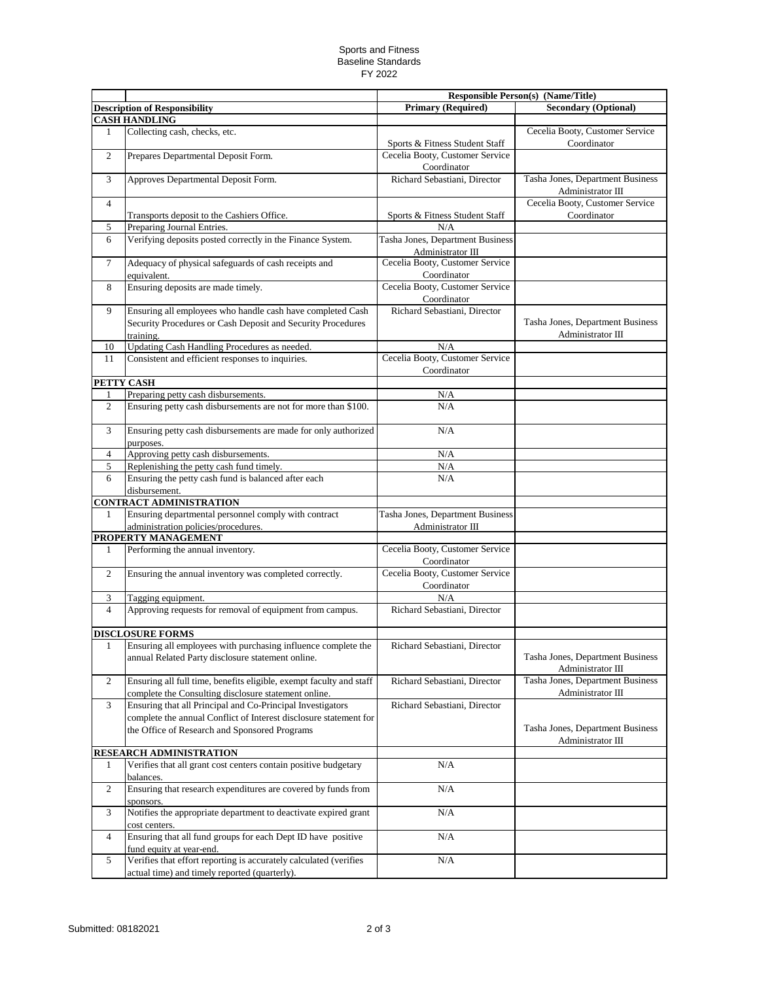## Sports and Fitness Baseline Standards FY 2022

|                                                              |                                                                     | <b>Responsible Person(s) (Name/Title)</b> |                                  |
|--------------------------------------------------------------|---------------------------------------------------------------------|-------------------------------------------|----------------------------------|
| <b>Description of Responsibility</b><br><b>CASH HANDLING</b> |                                                                     | <b>Primary (Required)</b>                 | <b>Secondary (Optional)</b>      |
| 1                                                            | Collecting cash, checks, etc.                                       |                                           | Cecelia Booty, Customer Service  |
|                                                              |                                                                     | Sports & Fitness Student Staff            | Coordinator                      |
| $\overline{c}$                                               | Prepares Departmental Deposit Form.                                 | Cecelia Booty, Customer Service           |                                  |
|                                                              |                                                                     | Coordinator                               |                                  |
| 3                                                            | Approves Departmental Deposit Form.                                 | Richard Sebastiani, Director              | Tasha Jones, Department Business |
|                                                              |                                                                     |                                           | Administrator III                |
| 4                                                            |                                                                     |                                           | Cecelia Booty, Customer Service  |
|                                                              | Transports deposit to the Cashiers Office.                          | Sports & Fitness Student Staff            | Coordinator                      |
| 5                                                            | Preparing Journal Entries.                                          | N/A                                       |                                  |
| 6                                                            | Verifying deposits posted correctly in the Finance System.          | Tasha Jones, Department Business          |                                  |
|                                                              |                                                                     | Administrator III                         |                                  |
| 7                                                            | Adequacy of physical safeguards of cash receipts and                | Cecelia Booty, Customer Service           |                                  |
|                                                              | equivalent.                                                         | Coordinator                               |                                  |
| 8                                                            | Ensuring deposits are made timely.                                  | Cecelia Booty, Customer Service           |                                  |
|                                                              |                                                                     | Coordinator                               |                                  |
| 9                                                            | Ensuring all employees who handle cash have completed Cash          | Richard Sebastiani, Director              |                                  |
|                                                              | Security Procedures or Cash Deposit and Security Procedures         |                                           | Tasha Jones, Department Business |
|                                                              | training.                                                           |                                           | Administrator III                |
| 10                                                           | Updating Cash Handling Procedures as needed.                        | N/A                                       |                                  |
| 11                                                           | Consistent and efficient responses to inquiries.                    | Cecelia Booty, Customer Service           |                                  |
|                                                              |                                                                     | Coordinator                               |                                  |
|                                                              | PETTY CASH                                                          |                                           |                                  |
| 1                                                            | Preparing petty cash disbursements.                                 | N/A                                       |                                  |
| $\overline{c}$                                               | Ensuring petty cash disbursements are not for more than \$100.      | N/A                                       |                                  |
|                                                              |                                                                     |                                           |                                  |
| 3                                                            | Ensuring petty cash disbursements are made for only authorized      | N/A                                       |                                  |
|                                                              | purposes.                                                           |                                           |                                  |
| $\overline{4}$                                               | Approving petty cash disbursements.                                 | N/A                                       |                                  |
| 5                                                            | Replenishing the petty cash fund timely.                            | N/A                                       |                                  |
| 6                                                            | Ensuring the petty cash fund is balanced after each                 | N/A                                       |                                  |
|                                                              | disbursement.                                                       |                                           |                                  |
|                                                              | <b>CONTRACT ADMINISTRATION</b>                                      |                                           |                                  |
| 1                                                            | Ensuring departmental personnel comply with contract                | Tasha Jones, Department Business          |                                  |
|                                                              | administration policies/procedures.                                 | Administrator III                         |                                  |
|                                                              | PROPERTY MANAGEMENT                                                 |                                           |                                  |
| 1                                                            | Performing the annual inventory.                                    | Cecelia Booty, Customer Service           |                                  |
|                                                              |                                                                     | Coordinator                               |                                  |
| $\overline{c}$                                               | Ensuring the annual inventory was completed correctly.              | Cecelia Booty, Customer Service           |                                  |
|                                                              |                                                                     | Coordinator                               |                                  |
| 3                                                            | Tagging equipment.                                                  | N/A                                       |                                  |
| $\overline{4}$                                               | Approving requests for removal of equipment from campus.            | Richard Sebastiani, Director              |                                  |
|                                                              |                                                                     |                                           |                                  |
|                                                              | <b>DISCLOSURE FORMS</b>                                             |                                           |                                  |
| 1.                                                           | Ensuring all employees with purchasing influence complete the       | Richard Sebastiani, Director              |                                  |
|                                                              | annual Related Party disclosure statement online.                   |                                           | Tasha Jones, Department Business |
|                                                              |                                                                     |                                           | Administrator III                |
| $\overline{c}$                                               | Ensuring all full time, benefits eligible, exempt faculty and staff | Richard Sebastiani, Director              | Tasha Jones, Department Business |
|                                                              | complete the Consulting disclosure statement online.                |                                           | Administrator III                |
| 3                                                            | Ensuring that all Principal and Co-Principal Investigators          | Richard Sebastiani, Director              |                                  |
|                                                              | complete the annual Conflict of Interest disclosure statement for   |                                           |                                  |
|                                                              | the Office of Research and Sponsored Programs                       |                                           | Tasha Jones, Department Business |
|                                                              |                                                                     |                                           | Administrator III                |
|                                                              | RESEARCH ADMINISTRATION                                             |                                           |                                  |
| 1                                                            | Verifies that all grant cost centers contain positive budgetary     | N/A                                       |                                  |
|                                                              | balances.                                                           |                                           |                                  |
| $\overline{c}$                                               | Ensuring that research expenditures are covered by funds from       | N/A                                       |                                  |
|                                                              | sponsors.                                                           |                                           |                                  |
| 3                                                            | Notifies the appropriate department to deactivate expired grant     | $\rm N/A$                                 |                                  |
|                                                              | cost centers.                                                       |                                           |                                  |
| $\overline{4}$                                               | Ensuring that all fund groups for each Dept ID have positive        | $\rm N/A$                                 |                                  |
|                                                              | fund equity at year-end.                                            |                                           |                                  |
| 5                                                            | Verifies that effort reporting is accurately calculated (verifies   | $\rm N/A$                                 |                                  |
|                                                              | actual time) and timely reported (quarterly).                       |                                           |                                  |